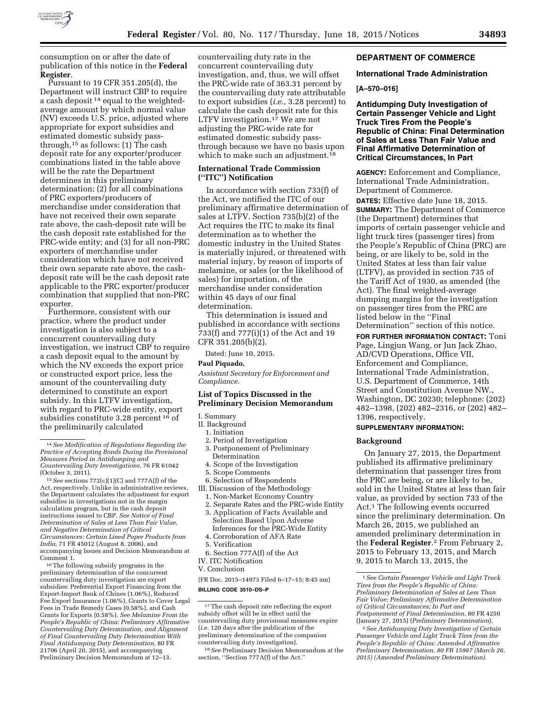

consumption on or after the date of publication of this notice in the **Federal Register**.

Pursuant to 19 CFR 351.205(d), the Department will instruct CBP to require a cash deposit 14 equal to the weightedaverage amount by which normal value (NV) exceeds U.S. price, adjusted where appropriate for export subsidies and estimated domestic subsidy passthrough,15 as follows: (1) The cash deposit rate for any exporter/producer combinations listed in the table above will be the rate the Department determines in this preliminary determination; (2) for all combinations of PRC exporters/producers of merchandise under consideration that have not received their own separate rate above, the cash-deposit rate will be the cash deposit rate established for the PRC-wide entity; and (3) for all non-PRC exporters of merchandise under consideration which have not received their own separate rate above, the cashdeposit rate will be the cash deposit rate applicable to the PRC exporter/producer combination that supplied that non-PRC exporter.

Furthermore, consistent with our practice, where the product under investigation is also subject to a concurrent countervailing duty investigation, we instruct CBP to require a cash deposit equal to the amount by which the NV exceeds the export price or constructed export price, less the amount of the countervailing duty determined to constitute an export subsidy. In this LTFV investigation, with regard to PRC-wide entity, export subsidies constitute 3.28 percent 16 of the preliminarily calculated

16The following subsidy programs in the preliminary determination of the concurrent countervailing duty investigation are export subsidies: Preferential Export Financing from the Export-Import Bank of Chines (1.06%), Reduced Fee Export Insurance (1.06%), Grants to Cover Legal Fees in Trade Remedy Cases (0.58%), and Cash Grants for Exports (0.58%). *See Melamine From the People's Republic of China: Preliminary Affirmative Countervailing Duty Determination, and Alignment of Final Countervailing Duty Determination With Final Antidumping Duty Determination,* 80 FR 21706 (April 20, 2015), and accompanying Preliminary Decision Memorandum at 12–13.

countervailing duty rate in the concurrent countervailing duty investigation, and, thus, we will offset the PRC-wide rate of 363.31 percent by the countervailing duty rate attributable to export subsidies (*i.e.,* 3.28 percent) to calculate the cash deposit rate for this LTFV investigation.<sup>17</sup> We are not adjusting the PRC-wide rate for estimated domestic subsidy passthrough because we have no basis upon which to make such an adjustment.<sup>18</sup>

### **International Trade Commission (''ITC'') Notification**

In accordance with section 733(f) of the Act, we notified the ITC of our preliminary affirmative determination of sales at LTFV. Section 735(b)(2) of the Act requires the ITC to make its final determination as to whether the domestic industry in the United States is materially injured, or threatened with material injury, by reason of imports of melamine, or sales (or the likelihood of sales) for importation, of the merchandise under consideration within 45 days of our final determination.

This determination is issued and published in accordance with sections 733(f) and 777(i)(1) of the Act and 19 CFR 351.205(b)(2).

Dated: June 10, 2015.

# **Paul Piquado,**

*Assistant Secretary for Enforcement and Compliance.* 

### **List of Topics Discussed in the Preliminary Decision Memorandum**

- I. Summary
- II. Background
	- 1. Initiation
	- 2. Period of Investigation
	- 3. Postponement of Preliminary
	- Determination
	- 4. Scope of the Investigation
	- 5. Scope Comments
	- 6. Selection of Respondents
- III. Discussion of the Methodology
- 1. Non-Market Economy Country
- 2. Separate Rates and the PRC-wide Entity
- 3. Application of Facts Available and Selection Based Upon Adverse Inferences for the PRC-Wide Entity
- 4. Corroboration of AFA Rate
- 5. Verification
- 6. Section 777A(f) of the Act
- IV. ITC Notification
- V. Conclusion

[FR Doc. 2015–14973 Filed 6–17–15; 8:45 am] **BILLING CODE 3510–DS–P** 

### **DEPARTMENT OF COMMERCE**

#### **International Trade Administration**

#### **[A–570–016]**

**Antidumping Duty Investigation of Certain Passenger Vehicle and Light Truck Tires From the People's Republic of China: Final Determination of Sales at Less Than Fair Value and Final Affirmative Determination of Critical Circumstances, In Part** 

**AGENCY:** Enforcement and Compliance, International Trade Administration, Department of Commerce.

**DATES:** Effective date June 18, 2015. **SUMMARY:** The Department of Commerce (the Department) determines that imports of certain passenger vehicle and light truck tires (passenger tires) from the People's Republic of China (PRC) are being, or are likely to be, sold in the United States at less than fair value (LTFV), as provided in section 735 of the Tariff Act of 1930, as amended (the Act). The final weighted-average dumping margins for the investigation on passenger tires from the PRC are listed below in the ''Final Determination'' section of this notice.

**FOR FURTHER INFORMATION CONTACT:** Toni Page, Lingjun Wang, or Jun Jack Zhao, AD/CVD Operations, Office VII, Enforcement and Compliance, International Trade Administration, U.S. Department of Commerce, 14th Street and Constitution Avenue NW., Washington, DC 20230; telephone: (202) 482–1398, (202) 482–2316, or (202) 482– 1396, respectively.

#### **SUPPLEMENTARY INFORMATION:**

#### **Background**

On January 27, 2015, the Department published its affirmative preliminary determination that passenger tires from the PRC are being, or are likely to be, sold in the United States at less than fair value, as provided by section 733 of the Act.1 The following events occurred since the preliminary determination. On March 26, 2015, we published an amended preliminary determination in the **Federal Register**.2 From February 2, 2015 to February 13, 2015, and March 9, 2015 to March 13, 2015, the

<sup>14</sup>*See Modification of Regulations Regarding the Practice of Accepting Bonds During the Provisional Measures Period in Antidumping and Countervailing Duty Investigations,* 76 FR 61042

<sup>&</sup>lt;sup>15</sup> See sections 772(c)(1)(C) and 777A(f) of the Act, respectively. Unlike in administrative reviews, the Department calculates the adjustment for export subsidies in investigations not in the margin calculation program, but in the cash deposit instructions issued to CBP. *See Notice of Final Determination of Sales at Less Than Fair Value, and Negative Determination of Critical Circumstances: Certain Lined Paper Products from India,* 71 FR 45012 (August 8, 2006), and accompanying Issues and Decision Memorandum at Comment 1.

<sup>17</sup>The cash deposit rate reflecting the export subsidy offset will be in effect until the countervailing duty provisional measures expire (*i.e.* 120 days after the publication of the preliminary determination of the companion countervailing duty investigation).

<sup>18</sup>*See* Preliminary Decision Memorandum at the section, ''Section 777A(f) of the Act.''

<sup>1</sup>*See Certain Passenger Vehicle and Light Truck Tires from the People's Republic of China: Preliminary Determination of Sales at Less Than Fair Value; Preliminary Affirmative Determination of Critical Circumstances; In Part and Postponement of Final Determination,* 80 FR 4250 (January 27, 2015) (*Preliminary Determination*).

<sup>2</sup>*See Antidumping Duty Investigation of Certain Passenger Vehicle and Light Truck Tires from the People's Republic of China: Amended Affirmative Preliminary Determination, 80 FR 15987 (March 26, 2015) (Amended Preliminary Determination).*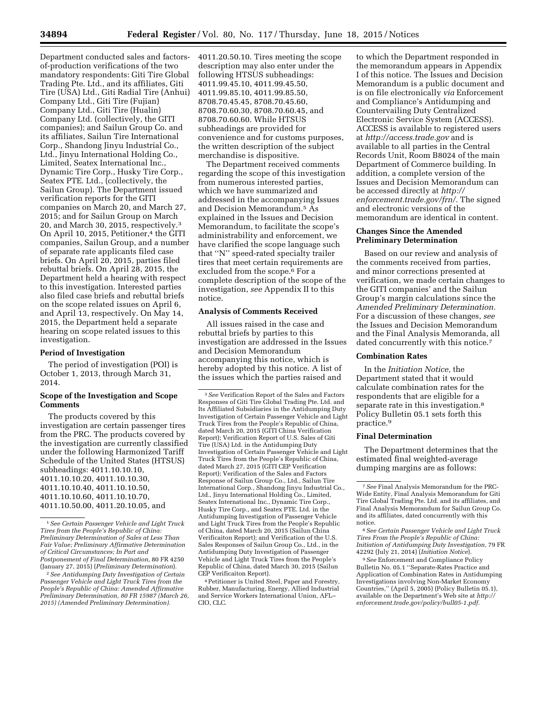Department conducted sales and factorsof-production verifications of the two mandatory respondents: Giti Tire Global Trading Pte. Ltd., and its affiliates, Giti Tire (USA) Ltd., Giti Radial Tire (Anhui) Company Ltd., Giti Tire (Fujian) Company Ltd., Giti Tire (Hualin) Company Ltd. (collectively, the GITI companies); and Sailun Group Co. and its affiliates, Sailun Tire International Corp., Shandong Jinyu Industrial Co., Ltd., Jinyu International Holding Co., Limited, Seatex International Inc., Dynamic Tire Corp., Husky Tire Corp., Seatex PTE. Ltd., (collectively, the Sailun Group). The Department issued verification reports for the GITI companies on March 20, and March 27, 2015; and for Sailun Group on March 20, and March 30, 2015, respectively.3 On April 10, 2015, Petitioner,<sup>4</sup> the GITI companies, Sailun Group, and a number of separate rate applicants filed case briefs. On April 20, 2015, parties filed rebuttal briefs. On April 28, 2015, the Department held a hearing with respect to this investigation. Interested parties also filed case briefs and rebuttal briefs on the scope related issues on April 6, and April 13, respectively. On May 14, 2015, the Department held a separate hearing on scope related issues to this investigation.

#### **Period of Investigation**

The period of investigation (POI) is October 1, 2013, through March 31, 2014.

### **Scope of the Investigation and Scope Comments**

The products covered by this investigation are certain passenger tires from the PRC. The products covered by the investigation are currently classified under the following Harmonized Tariff Schedule of the United States (HTSUS) subheadings: 4011.10.10.10, 4011.10.10.20, 4011.10.10.30, 4011.10.10.40, 4011.10.10.50, 4011.10.10.60, 4011.10.10.70, 4011.10.50.00, 4011.20.10.05, and

4011.20.50.10. Tires meeting the scope description may also enter under the following HTSUS subheadings: 4011.99.45.10, 4011.99.45.50, 4011.99.85.10, 4011.99.85.50, 8708.70.45.45, 8708.70.45.60, 8708.70.60.30, 8708.70.60.45, and 8708.70.60.60. While HTSUS subheadings are provided for convenience and for customs purposes, the written description of the subject merchandise is dispositive.

The Department received comments regarding the scope of this investigation from numerous interested parties, which we have summarized and addressed in the accompanying Issues and Decision Memorandum.5 As explained in the Issues and Decision Memorandum, to facilitate the scope's administrability and enforcement, we have clarified the scope language such that ''N'' speed-rated specialty trailer tires that meet certain requirements are excluded from the scope.<sup>6</sup> For a complete description of the scope of the investigation, *see* Appendix II to this notice.

#### **Analysis of Comments Received**

All issues raised in the case and rebuttal briefs by parties to this investigation are addressed in the Issues and Decision Memorandum accompanying this notice, which is hereby adopted by this notice. A list of the issues which the parties raised and

to which the Department responded in the memorandum appears in Appendix I of this notice. The Issues and Decision Memorandum is a public document and is on file electronically *via* Enforcement and Compliance's Antidumping and Countervailing Duty Centralized Electronic Service System (ACCESS). ACCESS is available to registered users at *<http://access.trade.gov>*and is available to all parties in the Central Records Unit, Room B8024 of the main Department of Commerce building. In addition, a complete version of the Issues and Decision Memorandum can be accessed directly at *[http://](http://enforcement.trade.gov/frn/) [enforcement.trade.gov/frn/.](http://enforcement.trade.gov/frn/)* The signed and electronic versions of the memorandum are identical in content.

### **Changes Since the Amended Preliminary Determination**

Based on our review and analysis of the comments received from parties, and minor corrections presented at verification, we made certain changes to the GITI companies' and the Sailun Group's margin calculations since the *Amended Preliminary Determination.*  For a discussion of these changes, *see*  the Issues and Decision Memorandum and the Final Analysis Memoranda, all dated concurrently with this notice.7

## **Combination Rates**

In the *Initiation Notice,* the Department stated that it would calculate combination rates for the respondents that are eligible for a separate rate in this investigation.<sup>8</sup> Policy Bulletin 05.1 sets forth this practice.9

# **Final Determination**

The Department determines that the estimated final weighted-average dumping margins are as follows:

8*See Certain Passenger Vehicle and Light Truck Tires From the People's Republic of China: Initiation of Antidumping Duty Investigation,* 79 FR 42292 (July 21, 2014) (*Initiation Notice*).

9*See* Enforcement and Compliance Policy Bulletin No. 05.1 ''Separate-Rates Practice and Application of Combination Rates in Antidumping Investigations involving Non-Market Economy Countries,'' (April 5, 2005) (Policy Bulletin 05.1), available on the Department's Web site at *[http://](http://enforcement.trade.gov/policy/bull05-1.pdf) [enforcement.trade.gov/policy/bull05-1.pdf.](http://enforcement.trade.gov/policy/bull05-1.pdf)* 

<sup>1</sup>*See Certain Passenger Vehicle and Light Truck Tires from the People's Republic of China: Preliminary Determination of Sales at Less Than Fair Value; Preliminary Affirmative Determination of Critical Circumstances; In Part and Postponement of Final Determination,* 80 FR 4250 (January 27, 2015) (*Preliminary Determination*).

<sup>2</sup>*See Antidumping Duty Investigation of Certain Passenger Vehicle and Light Truck Tires from the People's Republic of China: Amended Affirmative Preliminary Determination, 80 FR 15987 (March 26, 2015) (Amended Preliminary Determination).* 

<sup>3</sup>*See* Verification Report of the Sales and Factors Responses of Giti Tire Global Trading Pte. Ltd. and Its Affiliated Subsidiaries in the Antidumping Duty Investigation of Certain Passenger Vehicle and Light Truck Tires from the People's Republic of China, dated March 20, 2015 (GITI China Verification Report); Verification Report of U.S. Sales of Giti Tire (USA) Ltd. in the Antidumping Duty Investigation of Certain Passenger Vehicle and Light Truck Tires from the People's Republic of China, dated March 27, 2015 (GITI CEP Verification Report); Verification of the Sales and Factors Response of Sailun Group Co., Ltd., Sailun Tire International Corp., Shandong Jinyu Industrial Co., Ltd., Jinyu International Holding Co., Limited, Seatex International Inc., Dynamic Tire Corp., Husky Tire Corp., and Seatex PTE. Ltd. in the Antidumping Investigation of Passenger Vehicle and Light Truck Tires from the People's Republic of China, dated March 20, 2015 (Sailun China Verificaiton Report); and Verification of the U.S. Sales Responses of Sailun Group Co., Ltd., in the Antidumping Duty Investigation of Passenger Vehicle and Light Truck Tires from the People's Republic of China, dated March 30, 2015 (Sailun CEP Verificaiton Report).

<sup>4</sup>Petitioner is United Steel, Paper and Forestry, Rubber, Manufacturing, Energy, Allied Industrial and Service Workers International Union, AFL– CIO, CLC.

<sup>7</sup>*See* Final Analysis Memorandum for the PRC-Wide Entity, Final Analysis Memorandum for Giti Tire Global Trading Pte. Ltd. and its affiliates, and Final Analysis Memorandum for Sailun Group Co. and its affiliates, dated concurrently with this notice.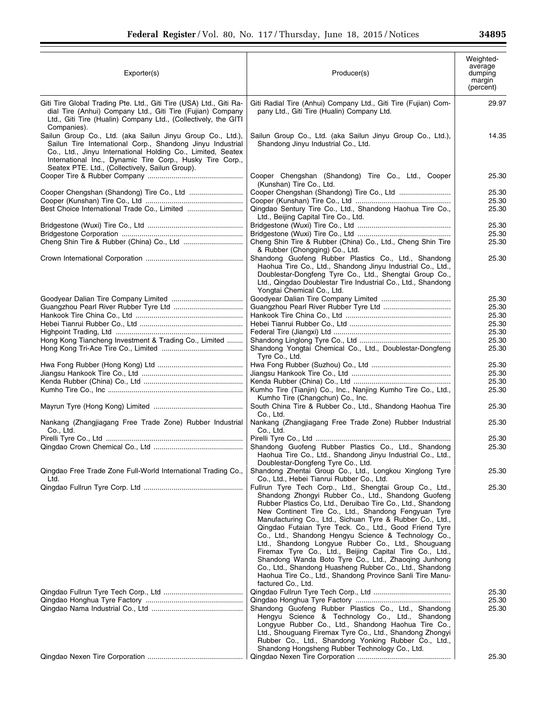| Exporter(s)                                                                                                                                                                                                                                                                                             | Producer(s)                                                                                                                                                                                                                                                                                                                                                                                                                                                                                                                                                                                                                                                                                                                                  | Weighted-<br>average<br>dumping<br>margin<br>(percent) |
|---------------------------------------------------------------------------------------------------------------------------------------------------------------------------------------------------------------------------------------------------------------------------------------------------------|----------------------------------------------------------------------------------------------------------------------------------------------------------------------------------------------------------------------------------------------------------------------------------------------------------------------------------------------------------------------------------------------------------------------------------------------------------------------------------------------------------------------------------------------------------------------------------------------------------------------------------------------------------------------------------------------------------------------------------------------|--------------------------------------------------------|
| Giti Tire Global Trading Pte. Ltd., Giti Tire (USA) Ltd., Giti Ra-<br>dial Tire (Anhui) Company Ltd., Giti Tire (Fujian) Company<br>Ltd., Giti Tire (Hualin) Company Ltd., (Collectively, the GITI<br>Companies).                                                                                       | Giti Radial Tire (Anhui) Company Ltd., Giti Tire (Fujian) Com-<br>pany Ltd., Giti Tire (Hualin) Company Ltd.                                                                                                                                                                                                                                                                                                                                                                                                                                                                                                                                                                                                                                 | 29.97                                                  |
| Sailun Group Co., Ltd. (aka Sailun Jinyu Group Co., Ltd.),<br>Sailun Tire International Corp., Shandong Jinyu Industrial<br>Co., Ltd., Jinyu International Holding Co., Limited, Seatex<br>International Inc., Dynamic Tire Corp., Husky Tire Corp.,<br>Seatex PTE. Ltd., (Collectively, Sailun Group). | Sailun Group Co., Ltd. (aka Sailun Jinyu Group Co., Ltd.),<br>Shandong Jinyu Industrial Co., Ltd.                                                                                                                                                                                                                                                                                                                                                                                                                                                                                                                                                                                                                                            | 14.35                                                  |
|                                                                                                                                                                                                                                                                                                         | Cooper Chengshan (Shandong) Tire Co., Ltd., Cooper<br>(Kunshan) Tire Co., Ltd.                                                                                                                                                                                                                                                                                                                                                                                                                                                                                                                                                                                                                                                               | 25.30                                                  |
|                                                                                                                                                                                                                                                                                                         |                                                                                                                                                                                                                                                                                                                                                                                                                                                                                                                                                                                                                                                                                                                                              | 25.30                                                  |
|                                                                                                                                                                                                                                                                                                         |                                                                                                                                                                                                                                                                                                                                                                                                                                                                                                                                                                                                                                                                                                                                              | 25.30                                                  |
|                                                                                                                                                                                                                                                                                                         | Qingdao Sentury Tire Co., Ltd., Shandong Haohua Tire Co.,<br>Ltd., Beijing Capital Tire Co., Ltd.                                                                                                                                                                                                                                                                                                                                                                                                                                                                                                                                                                                                                                            | 25.30                                                  |
|                                                                                                                                                                                                                                                                                                         |                                                                                                                                                                                                                                                                                                                                                                                                                                                                                                                                                                                                                                                                                                                                              | 25.30                                                  |
|                                                                                                                                                                                                                                                                                                         | Cheng Shin Tire & Rubber (China) Co., Ltd., Cheng Shin Tire<br>& Rubber (Chongqing) Co., Ltd.                                                                                                                                                                                                                                                                                                                                                                                                                                                                                                                                                                                                                                                | 25.30<br>25.30                                         |
|                                                                                                                                                                                                                                                                                                         | Shandong Guofeng Rubber Plastics Co., Ltd., Shandong<br>Haohua Tire Co., Ltd., Shandong Jinyu Industrial Co., Ltd.,<br>Doublestar-Dongfeng Tyre Co., Ltd., Shengtai Group Co.,<br>Ltd., Qingdao Doublestar Tire Industrial Co., Ltd., Shandong<br>Yongtai Chemical Co., Ltd.                                                                                                                                                                                                                                                                                                                                                                                                                                                                 | 25.30                                                  |
|                                                                                                                                                                                                                                                                                                         |                                                                                                                                                                                                                                                                                                                                                                                                                                                                                                                                                                                                                                                                                                                                              | 25.30                                                  |
|                                                                                                                                                                                                                                                                                                         |                                                                                                                                                                                                                                                                                                                                                                                                                                                                                                                                                                                                                                                                                                                                              | 25.30                                                  |
|                                                                                                                                                                                                                                                                                                         |                                                                                                                                                                                                                                                                                                                                                                                                                                                                                                                                                                                                                                                                                                                                              | 25.30                                                  |
|                                                                                                                                                                                                                                                                                                         |                                                                                                                                                                                                                                                                                                                                                                                                                                                                                                                                                                                                                                                                                                                                              | 25.30                                                  |
|                                                                                                                                                                                                                                                                                                         |                                                                                                                                                                                                                                                                                                                                                                                                                                                                                                                                                                                                                                                                                                                                              | 25.30                                                  |
| Hong Kong Tiancheng Investment & Trading Co., Limited                                                                                                                                                                                                                                                   | Shandong Yongtai Chemical Co., Ltd., Doublestar-Dongfeng<br>Tyre Co., Ltd.                                                                                                                                                                                                                                                                                                                                                                                                                                                                                                                                                                                                                                                                   | 25.30<br>25.30                                         |
|                                                                                                                                                                                                                                                                                                         |                                                                                                                                                                                                                                                                                                                                                                                                                                                                                                                                                                                                                                                                                                                                              | 25.30                                                  |
|                                                                                                                                                                                                                                                                                                         |                                                                                                                                                                                                                                                                                                                                                                                                                                                                                                                                                                                                                                                                                                                                              | 25.30                                                  |
|                                                                                                                                                                                                                                                                                                         |                                                                                                                                                                                                                                                                                                                                                                                                                                                                                                                                                                                                                                                                                                                                              | 25.30                                                  |
|                                                                                                                                                                                                                                                                                                         | Kumho Tire (Tianjin) Co., Inc., Nanjing Kumho Tire Co., Ltd.,                                                                                                                                                                                                                                                                                                                                                                                                                                                                                                                                                                                                                                                                                | 25.30                                                  |
|                                                                                                                                                                                                                                                                                                         | Kumho Tire (Changchun) Co., Inc.<br>South China Tire & Rubber Co., Ltd., Shandong Haohua Tire                                                                                                                                                                                                                                                                                                                                                                                                                                                                                                                                                                                                                                                | 25.30                                                  |
| Nankang (Zhangjiagang Free Trade Zone) Rubber Industrial<br>Co., Ltd.                                                                                                                                                                                                                                   | Co., Ltd.<br>Nankang (Zhangjiagang Free Trade Zone) Rubber Industrial<br>Co., Ltd.                                                                                                                                                                                                                                                                                                                                                                                                                                                                                                                                                                                                                                                           | 25.30                                                  |
|                                                                                                                                                                                                                                                                                                         |                                                                                                                                                                                                                                                                                                                                                                                                                                                                                                                                                                                                                                                                                                                                              | 25.30                                                  |
|                                                                                                                                                                                                                                                                                                         | Shandong Guofeng Rubber Plastics Co., Ltd., Shandong<br>Haohua Tire Co., Ltd., Shandong Jinyu Industrial Co., Ltd.,<br>Doublestar-Dongfeng Tyre Co., Ltd.                                                                                                                                                                                                                                                                                                                                                                                                                                                                                                                                                                                    | 25.30                                                  |
| Qingdao Free Trade Zone Full-World International Trading Co.,<br>Ltd.                                                                                                                                                                                                                                   | Shandong Zhentai Group Co., Ltd., Longkou Xinglong Tyre<br>Co., Ltd., Hebei Tianrui Rubber Co., Ltd.                                                                                                                                                                                                                                                                                                                                                                                                                                                                                                                                                                                                                                         | 25.30                                                  |
|                                                                                                                                                                                                                                                                                                         | Fullrun Tyre Tech Corp., Ltd., Shengtai Group Co., Ltd.,<br>Shandong Zhongyi Rubber Co., Ltd., Shandong Guofeng<br>Rubber Plastics Co, Ltd., Deruibao Tire Co., Ltd., Shandong<br>New Continent Tire Co., Ltd., Shandong Fengyuan Tyre<br>Manufacturing Co., Ltd., Sichuan Tyre & Rubber Co., Ltd.,<br>Qingdao Futaian Tyre Teck. Co., Ltd., Good Friend Tyre<br>Co., Ltd., Shandong Hengyu Science & Technology Co.,<br>Ltd., Shandong Longyue Rubber Co., Ltd., Shouguang<br>Firemax Tyre Co., Ltd., Beijing Capital Tire Co., Ltd.,<br>Shandong Wanda Boto Tyre Co., Ltd., Zhaoqing Junhong<br>Co., Ltd., Shandong Huasheng Rubber Co., Ltd., Shandong<br>Haohua Tire Co., Ltd., Shandong Province Sanli Tire Manu-<br>factured Co., Ltd. | 25.30                                                  |
|                                                                                                                                                                                                                                                                                                         |                                                                                                                                                                                                                                                                                                                                                                                                                                                                                                                                                                                                                                                                                                                                              | 25.30                                                  |
|                                                                                                                                                                                                                                                                                                         |                                                                                                                                                                                                                                                                                                                                                                                                                                                                                                                                                                                                                                                                                                                                              | 25.30                                                  |
|                                                                                                                                                                                                                                                                                                         | Shandong Guofeng Rubber Plastics Co., Ltd., Shandong<br>Hengyu Science & Technology Co., Ltd., Shandong<br>Longyue Rubber Co., Ltd., Shandong Haohua Tire Co.,<br>Ltd., Shouguang Firemax Tyre Co., Ltd., Shandong Zhongyi<br>Rubber Co., Ltd., Shandong Yonking Rubber Co., Ltd.,                                                                                                                                                                                                                                                                                                                                                                                                                                                           | 25.30                                                  |
|                                                                                                                                                                                                                                                                                                         | Shandong Hongsheng Rubber Technology Co., Ltd.                                                                                                                                                                                                                                                                                                                                                                                                                                                                                                                                                                                                                                                                                               |                                                        |
|                                                                                                                                                                                                                                                                                                         |                                                                                                                                                                                                                                                                                                                                                                                                                                                                                                                                                                                                                                                                                                                                              | 25.30                                                  |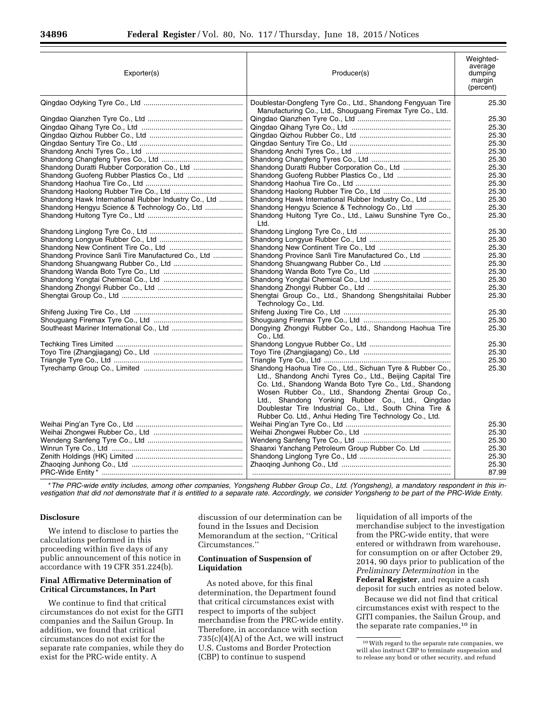| Exporter(s)                                          | Producer(s)                                                                      | Weighted-<br>average<br>dumping<br>margin<br>(percent) |
|------------------------------------------------------|----------------------------------------------------------------------------------|--------------------------------------------------------|
|                                                      | Doublestar-Dongfeng Tyre Co., Ltd., Shandong Fengyuan Tire                       | 25.30                                                  |
|                                                      | Manufacturing Co., Ltd., Shouguang Firemax Tyre Co., Ltd.                        |                                                        |
|                                                      |                                                                                  | 25.30                                                  |
|                                                      |                                                                                  | 25.30                                                  |
|                                                      |                                                                                  | 25.30                                                  |
|                                                      |                                                                                  | 25.30                                                  |
|                                                      |                                                                                  | 25.30                                                  |
|                                                      |                                                                                  | 25.30                                                  |
|                                                      |                                                                                  | 25.30                                                  |
|                                                      |                                                                                  | 25.30                                                  |
|                                                      |                                                                                  | 25.30                                                  |
|                                                      |                                                                                  | 25.30                                                  |
| Shandong Hawk International Rubber Industry Co., Ltd | Shandong Hawk International Rubber Industry Co., Ltd                             | 25.30                                                  |
| Shandong Hengyu Science & Technology Co., Ltd        |                                                                                  | 25.30                                                  |
|                                                      | Shandong Huitong Tyre Co., Ltd., Laiwu Sunshine Tyre Co.,<br>Ltd.                | 25.30                                                  |
|                                                      |                                                                                  | 25.30                                                  |
|                                                      |                                                                                  | 25.30                                                  |
|                                                      |                                                                                  | 25.30                                                  |
| Shandong Province Sanli Tire Manufactured Co., Ltd   | Shandong Province Sanli Tire Manufactured Co., Ltd                               | 25.30                                                  |
|                                                      |                                                                                  | 25.30                                                  |
|                                                      |                                                                                  | 25.30                                                  |
|                                                      |                                                                                  | 25.30                                                  |
|                                                      |                                                                                  | 25.30                                                  |
|                                                      | Shengtai Group Co., Ltd., Shandong Shengshitailai Rubber<br>Technology Co., Ltd. | 25.30                                                  |
|                                                      |                                                                                  | 25.30                                                  |
|                                                      |                                                                                  | 25.30                                                  |
|                                                      | Dongying Zhongyi Rubber Co., Ltd., Shandong Haohua Tire<br>Co., Ltd.             | 25.30                                                  |
|                                                      |                                                                                  | 25.30                                                  |
|                                                      |                                                                                  | 25.30                                                  |
|                                                      |                                                                                  | 25.30                                                  |
|                                                      | Shandong Haohua Tire Co., Ltd., Sichuan Tyre & Rubber Co.,                       | 25.30                                                  |
|                                                      | Ltd., Shandong Anchi Tyres Co., Ltd., Beijing Capital Tire                       |                                                        |
|                                                      | Co. Ltd., Shandong Wanda Boto Tyre Co., Ltd., Shandong                           |                                                        |
|                                                      | Wosen Rubber Co., Ltd., Shandong Zhentai Group Co.,                              |                                                        |
|                                                      | Ltd., Shandong Yonking Rubber Co., Ltd., Qingdao                                 |                                                        |
|                                                      | Doublestar Tire Industrial Co., Ltd., South China Tire &                         |                                                        |
|                                                      | Rubber Co. Ltd., Anhui Heding Tire Technology Co., Ltd.                          |                                                        |
|                                                      |                                                                                  | 25.30<br>25.30                                         |
|                                                      |                                                                                  | 25.30                                                  |
|                                                      | Shaanxi Yanchang Petroleum Group Rubber Co. Ltd                                  | 25.30                                                  |
|                                                      |                                                                                  | 25.30                                                  |
|                                                      |                                                                                  | 25.30                                                  |
|                                                      |                                                                                  | 87.99                                                  |

*\* The PRC-wide entity includes, among other companies, Yongsheng Rubber Group Co., Ltd. (Yongsheng), a mandatory respondent in this in*vestigation that did not demonstrate that it is entitled to a separate rate. Accordingly, we consider Yongsheng to be part of the PRC-Wide Entity.

### **Disclosure**

We intend to disclose to parties the calculations performed in this proceeding within five days of any public announcement of this notice in accordance with 19 CFR 351.224(b).

### **Final Affirmative Determination of Critical Circumstances, In Part**

We continue to find that critical circumstances do not exist for the GITI companies and the Sailun Group. In addition, we found that critical circumstances do not exist for the separate rate companies, while they do exist for the PRC-wide entity. A

discussion of our determination can be found in the Issues and Decision Memorandum at the section, ''Critical Circumstances.''

# **Continuation of Suspension of Liquidation**

As noted above, for this final determination, the Department found that critical circumstances exist with respect to imports of the subject merchandise from the PRC-wide entity. Therefore, in accordance with section 735(c)(4)(A) of the Act, we will instruct U.S. Customs and Border Protection (CBP) to continue to suspend

liquidation of all imports of the merchandise subject to the investigation from the PRC-wide entity, that were entered or withdrawn from warehouse, for consumption on or after October 29, 2014, 90 days prior to publication of the *Preliminary Determination* in the **Federal Register**, and require a cash deposit for such entries as noted below.

Because we did not find that critical circumstances exist with respect to the GITI companies, the Sailun Group, and the separate rate companies,10 in

<sup>10</sup>With regard to the separate rate companies, we will also instruct CBP to terminate suspension and to release any bond or other security, and refund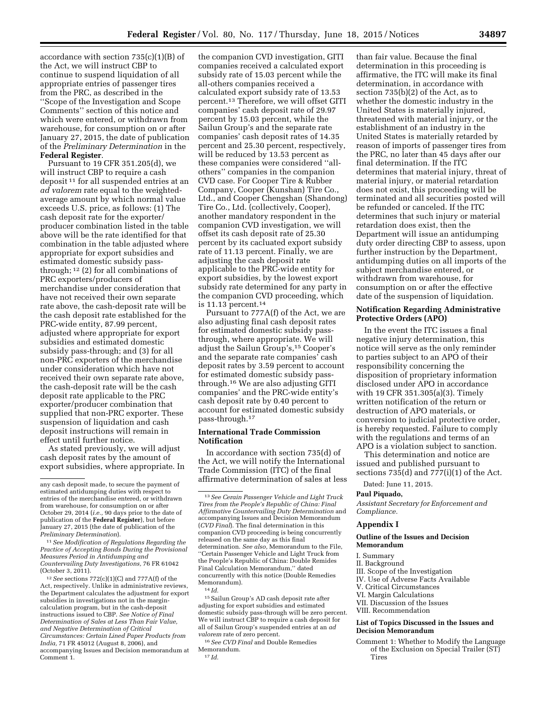accordance with section  $735(c)(1)(B)$  of the Act, we will instruct CBP to continue to suspend liquidation of all appropriate entries of passenger tires from the PRC, as described in the ''Scope of the Investigation and Scope Comments'' section of this notice and which were entered, or withdrawn from warehouse, for consumption on or after January 27, 2015, the date of publication of the *Preliminary Determination* in the **Federal Register**.

Pursuant to 19 CFR 351.205(d), we will instruct CBP to require a cash deposit 11 for all suspended entries at an *ad valorem* rate equal to the weightedaverage amount by which normal value exceeds U.S. price, as follows: (1) The cash deposit rate for the exporter/ producer combination listed in the table above will be the rate identified for that combination in the table adjusted where appropriate for export subsidies and estimated domestic subsidy passthrough; 12 (2) for all combinations of PRC exporters/producers of merchandise under consideration that have not received their own separate rate above, the cash-deposit rate will be the cash deposit rate established for the PRC-wide entity, 87.99 percent, adjusted where appropriate for export subsidies and estimated domestic subsidy pass-through; and (3) for all non-PRC exporters of the merchandise under consideration which have not received their own separate rate above, the cash-deposit rate will be the cash deposit rate applicable to the PRC exporter/producer combination that supplied that non-PRC exporter. These suspension of liquidation and cash deposit instructions will remain in effect until further notice.

As stated previously, we will adjust cash deposit rates by the amount of export subsidies, where appropriate. In

11*See Modification of Regulations Regarding the Practice of Accepting Bonds During the Provisional Measures Period in Antidumping and Countervailing Duty Investigations,* 76 FR 61042 (October 3, 2011).

12*See* sections 772(c)(1)(C) and 777A(f) of the Act, respectively. Unlike in administrative reviews, the Department calculates the adjustment for export subsidies in investigations not in the margincalculation program, but in the cash-deposit instructions issued to CBP. *See Notice of Final Determination of Sales at Less Than Fair Value, and Negative Determination of Critical Circumstances: Certain Lined Paper Products from India,* 71 FR 45012 (August 8, 2006), and accompanying Issues and Decision memorandum at Comment 1.

the companion CVD investigation, GITI companies received a calculated export subsidy rate of 15.03 percent while the all-others companies received a calculated export subsidy rate of 13.53 percent.13 Therefore, we will offset GITI companies' cash deposit rate of 29.97 percent by 15.03 percent, while the Sailun Group's and the separate rate companies' cash deposit rates of 14.35 percent and 25.30 percent, respectively, will be reduced by 13.53 percent as these companies were considered ''allothers'' companies in the companion CVD case. For Cooper Tire & Rubber Company, Cooper (Kunshan) Tire Co., Ltd., and Cooper Chengshan (Shandong) Tire Co., Ltd. (collectively, Cooper), another mandatory respondent in the companion CVD investigation, we will offset its cash deposit rate of 25.30 percent by its cacluated export subsidy rate of 11.13 percent. Finally, we are adjusting the cash deposit rate applicable to the PRC-wide entity for export subsidies, by the lowest export subsidy rate determined for any party in the companion CVD proceeding, which is 11.13 percent.14

Pursuant to 777A(f) of the Act, we are also adjusting final cash deposit rates for estimated domestic subsidy passthrough, where appropriate. We will adjust the Sailun Group's,15 Cooper's and the separate rate companies' cash deposit rates by 3.59 percent to account for estimated domestic subsidy passthrough.16 We are also adjusting GITI companies' and the PRC-wide entity's cash deposit rate by 0.40 percent to account for estimated domestic subsidy pass-through.17

### **International Trade Commission Notification**

In accordance with section 735(d) of the Act, we will notify the International Trade Commission (ITC) of the final affirmative determination of sales at less

15Sailun Group's AD cash deposit rate after adjusting for export subsidies and estimated domestic subsidy pass-through will be zero percent. We will instruct CBP to require a cash deposit for all of Sailun Group's suspended entries at an *ad valorem* rate of zero percent.

16*See CVD Final* and Double Remedies Memorandum. 17 *Id.* 

This determination and notice are

issued and published pursuant to sections 735(d) and 777(i)(1) of the Act.

Dated: June 11, 2015.

### **Paul Piquado,**

*Assistant Secretary for Enforcement and Compliance.* 

#### **Appendix I**

#### **Outline of the Issues and Decision Memorandum**

#### I. Summary II. Background

- 
- III. Scope of the Investigation
- IV. Use of Adverse Facts Available V. Critical Circumstances
- VI. Margin Calculations
- VII. Discussion of the Issues
- VIII. Recommendation
- **List of Topics Discussed in the Issues and Decision Memorandum**

## Comment 1: Whether to Modify the Language of the Exclusion on Special Trailer (ST) Tires

than fair value. Because the final determination in this proceeding is affirmative, the ITC will make its final determination, in accordance with section 735(b)(2) of the Act, as to whether the domestic industry in the United States is materially injured, threatened with material injury, or the establishment of an industry in the United States is materially retarded by reason of imports of passenger tires from the PRC, no later than 45 days after our final determination. If the ITC determines that material injury, threat of material injury, or material retardation does not exist, this proceeding will be terminated and all securities posted will be refunded or canceled. If the ITC determines that such injury or material retardation does exist, then the Department will issue an antidumping duty order directing CBP to assess, upon further instruction by the Department, antidumping duties on all imports of the subject merchandise entered, or withdrawn from warehouse, for consumption on or after the effective date of the suspension of liquidation.

#### **Notification Regarding Administrative Protective Orders (APO)**

In the event the ITC issues a final negative injury determination, this notice will serve as the only reminder to parties subject to an APO of their responsibility concerning the disposition of proprietary information disclosed under APO in accordance with 19 CFR 351.305(a)(3). Timely written notification of the return or destruction of APO materials, or conversion to judicial protective order, is hereby requested. Failure to comply with the regulations and terms of an APO is a violation subject to sanction.

any cash deposit made, to secure the payment of estimated antidumping duties with respect to entries of the merchandise entered, or withdrawn from warehouse, for consumption on or after October 29, 2014 (*i.e.,* 90 days prior to the date of publication of the **Federal Register**), but before January 27, 2015 (the date of publication of the *Preliminary Determination*).

<sup>13</sup>*See Cerain Passenger Vehicle and Light Truck Tires from the People's Republic of China: Final Affirmative Countervailing Duty Determination* and accompanying Issues and Decision Memorandum (*CVD Final*). The final determination in this companion CVD proceeding is being concurrently released on the same day as this final determination. *See also,* Memorandum to the File, ''Certain Passenger Vehicle and Light Truck from the People's Republic of China: Double Remides Final Calculation Memorandum,'' dated concurrently with this notice (Double Remedies Memorandum).

<sup>14</sup> *Id.*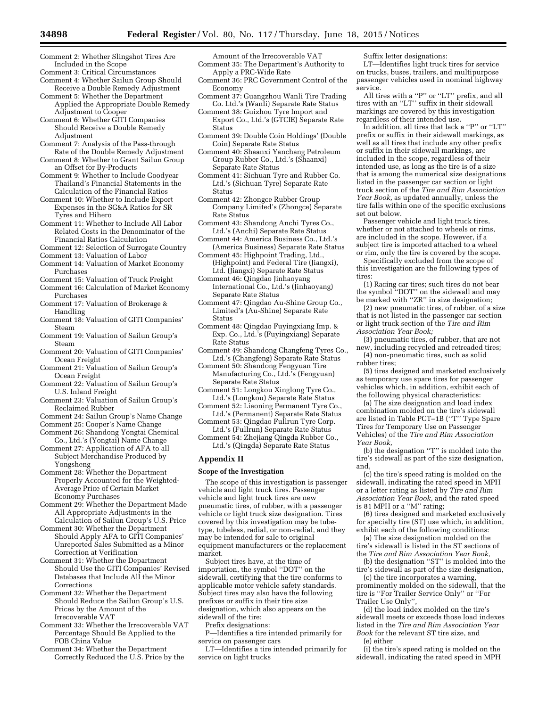- Comment 2: Whether Slingshot Tires Are Included in the Scope
- Comment 3: Critical Circumstances
- Comment 4: Whether Sailun Group Should Receive a Double Remedy Adjustment Comment 5: Whether the Department
- Applied the Appropriate Double Remedy Adjustment to Cooper Comment 6: Whether GITI Companies
- Should Receive a Double Remedy Adjustment
- Comment 7: Analysis of the Pass-through Rate of the Double Remedy Adjustment
- Comment 8: Whether to Grant Sailun Group an Offset for By-Products
- Comment 9: Whether to Include Goodyear Thailand's Financial Statements in the Calculation of the Financial Ratios
- Comment 10: Whether to Include Export Expenses in the SG&A Ratios for SR Tyres and Hihero
- Comment 11: Whether to Include All Labor Related Costs in the Denominator of the Financial Ratios Calculation
- Comment 12: Selection of Surrogate Country
- Comment 13: Valuation of Labor
- Comment 14: Valuation of Market Economy Purchases
- Comment 15: Valuation of Truck Freight
- Comment 16: Calculation of Market Economy Purchases
- Comment 17: Valuation of Brokerage & Handling
- Comment 18: Valuation of GITI Companies' Steam
- Comment 19: Valuation of Sailun Group's Steam
- Comment 20: Valuation of GITI Companies' Ocean Freight
- Comment 21: Valuation of Sailun Group's Ocean Freight
- Comment 22: Valuation of Sailun Group's U.S. Inland Freight
- Comment 23: Valuation of Sailun Group's Reclaimed Rubber
- Comment 24: Sailun Group's Name Change
- Comment 25: Cooper's Name Change
- Comment 26: Shandong Yongtai Chemical Co., Ltd.'s (Yongtai) Name Change
- Comment 27: Application of AFA to all Subject Merchandise Produced by Yongsheng
- Comment 28: Whether the Department Properly Accounted for the Weighted-Average Price of Certain Market Economy Purchases
- Comment 29: Whether the Department Made All Appropriate Adjustments in the Calculation of Sailun Group's U.S. Price
- Comment 30: Whether the Department Should Apply AFA to GITI Companies' Unreported Sales Submitted as a Minor Correction at Verification
- Comment 31: Whether the Department Should Use the GITI Companies' Revised Databases that Include All the Minor Corrections
- Comment 32: Whether the Department Should Reduce the Sailun Group's U.S. Prices by the Amount of the Irrecoverable VAT
- Comment 33: Whether the Irrecoverable VAT Percentage Should Be Applied to the FOB China Value
- Comment 34: Whether the Department Correctly Reduced the U.S. Price by the
- Amount of the Irrecoverable VAT Comment 35: The Department's Authority to
- Apply a PRC-Wide Rate Comment 36: PRC Government Control of the
- Economy
- Comment 37: Guangzhou Wanli Tire Trading Co. Ltd.'s (Wanli) Separate Rate Status
- Comment 38: Guizhou Tyre Import and Export Co., Ltd.'s (GTCIE) Separate Rate Status
- Comment 39: Double Coin Holdings' (Double Coin) Separate Rate Status
- Comment 40: Shaanxi Yanchang Petroleum Group Rubber Co., Ltd.'s (Shaanxi) Separate Rate Status
- Comment 41: Sichuan Tyre and Rubber Co. Ltd.'s (Sichuan Tyre) Separate Rate Status
- Comment 42: Zhongce Rubber Group Company Limited's (Zhongce) Separate Rate Status
- Comment 43: Shandong Anchi Tyres Co., Ltd.'s (Anchi) Separate Rate Status
- Comment 44: America Business Co., Ltd.'s (America Business) Separate Rate Status
- Comment 45: Highpoint Trading, Ltd., (Highpoint) and Federal Tire (Jiangxi), Ltd. (Jiangxi) Separate Rate Status
- Comment 46: Qingdao Jinhaoyang International Co., Ltd.'s (Jinhaoyang) Separate Rate Status
- Comment 47: Qingdao Au-Shine Group Co., Limited's (Au-Shine) Separate Rate Status
- Comment 48: Qingdao Fuyingxiang Imp. & Exp. Co., Ltd.'s (Fuyingxiang) Separate Rate Status
- Comment 49: Shandong Changfeng Tyres Co., Ltd.'s (Changfeng) Separate Rate Status
- Comment 50: Shandong Fengyuan Tire Manufacturing Co., Ltd.'s (Fengyuan) Separate Rate Status
- Comment 51: Longkou Xinglong Tyre Co., Ltd.'s (Longkou) Separate Rate Status
- Comment 52: Liaoning Permanent Tyre Co., Ltd.'s (Permanent) Separate Rate Status
- Comment 53: Qingdao Fullrun Tyre Corp. Ltd.'s (Fullrun) Separate Rate Status
- Comment 54: Zhejiang Qingda Rubber Co., Ltd.'s (Qingda) Separate Rate Status

#### **Appendix II**

### **Scope of the Investigation**

The scope of this investigation is passenger vehicle and light truck tires. Passenger vehicle and light truck tires are new pneumatic tires, of rubber, with a passenger vehicle or light truck size designation. Tires covered by this investigation may be tubetype, tubeless, radial, or non-radial, and they may be intended for sale to original equipment manufacturers or the replacement market.

Subject tires have, at the time of importation, the symbol ''DOT'' on the sidewall, certifying that the tire conforms to applicable motor vehicle safety standards. Subject tires may also have the following prefixes or suffix in their tire size designation, which also appears on the sidewall of the tire:

Prefix designations:

P—Identifies a tire intended primarily for service on passenger cars

LT—Identifies a tire intended primarily for service on light trucks

Suffix letter designations:

LT—Identifies light truck tires for service on trucks, buses, trailers, and multipurpose passenger vehicles used in nominal highway service.

All tires with a ''P'' or ''LT'' prefix, and all tires with an ''LT'' suffix in their sidewall markings are covered by this investigation regardless of their intended use.

In addition, all tires that lack a ''P'' or ''LT'' prefix or suffix in their sidewall markings, as well as all tires that include any other prefix or suffix in their sidewall markings, are included in the scope, regardless of their intended use, as long as the tire is of a size that is among the numerical size designations listed in the passenger car section or light truck section of the *Tire and Rim Association Year Book,* as updated annually, unless the tire falls within one of the specific exclusions set out below.

Passenger vehicle and light truck tires, whether or not attached to wheels or rims. are included in the scope. However, if a subject tire is imported attached to a wheel or rim, only the tire is covered by the scope.

Specifically excluded from the scope of this investigation are the following types of tires:

(1) Racing car tires; such tires do not bear the symbol ''DOT'' on the sidewall and may be marked with "ZR" in size designation;

(2) new pneumatic tires, of rubber, of a size that is not listed in the passenger car section or light truck section of the *Tire and Rim Association Year Book;* 

(3) pneumatic tires, of rubber, that are not new, including recycled and retreaded tires; (4) non-pneumatic tires, such as solid rubber tires;

(5) tires designed and marketed exclusively as temporary use spare tires for passenger vehicles which, in addition, exhibit each of the following physical characteristics:

(a) The size designation and load index combination molded on the tire's sidewall are listed in Table PCT–1B (''T'' Type Spare Tires for Temporary Use on Passenger Vehicles) of the *Tire and Rim Association Year Book,* 

(b) the designation ''T'' is molded into the tire's sidewall as part of the size designation, and,

(c) the tire's speed rating is molded on the sidewall, indicating the rated speed in MPH or a letter rating as listed by *Tire and Rim Association Year Book,* and the rated speed is 81 MPH or a ''M'' rating;

(6) tires designed and marketed exclusively for specialty tire (ST) use which, in addition, exhibit each of the following conditions:

(a) The size designation molded on the tire's sidewall is listed in the ST sections of the *Tire and Rim Association Year Book,* 

(b) the designation ''ST'' is molded into the tire's sidewall as part of the size designation,

(c) the tire incorporates a warning, prominently molded on the sidewall, that the tire is ''For Trailer Service Only'' or ''For Trailer Use Only'',

(d) the load index molded on the tire's sidewall meets or exceeds those load indexes listed in the *Tire and Rim Association Year Book* for the relevant ST tire size, and (e) either

(i) the tire's speed rating is molded on the sidewall, indicating the rated speed in MPH